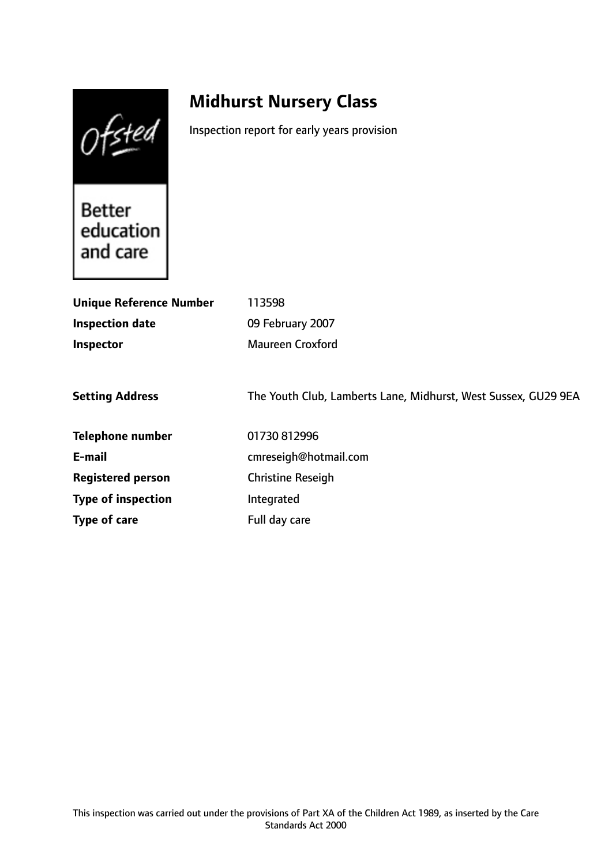Ofsted

# **Midhurst Nursery Class**

Inspection report for early years provision

**Better** education and care

| <b>Unique Reference Number</b> | 113598                                                         |
|--------------------------------|----------------------------------------------------------------|
| <b>Inspection date</b>         | 09 February 2007                                               |
| Inspector                      | Maureen Croxford                                               |
|                                |                                                                |
| <b>Setting Address</b>         | The Youth Club, Lamberts Lane, Midhurst, West Sussex, GU29 9EA |
| <b>Telephone number</b>        | 01730 812996                                                   |
| E-mail                         | cmreseigh@hotmail.com                                          |
| <b>Registered person</b>       | <b>Christine Reseigh</b>                                       |
| <b>Type of inspection</b>      | Integrated                                                     |
| Type of care                   | Full day care                                                  |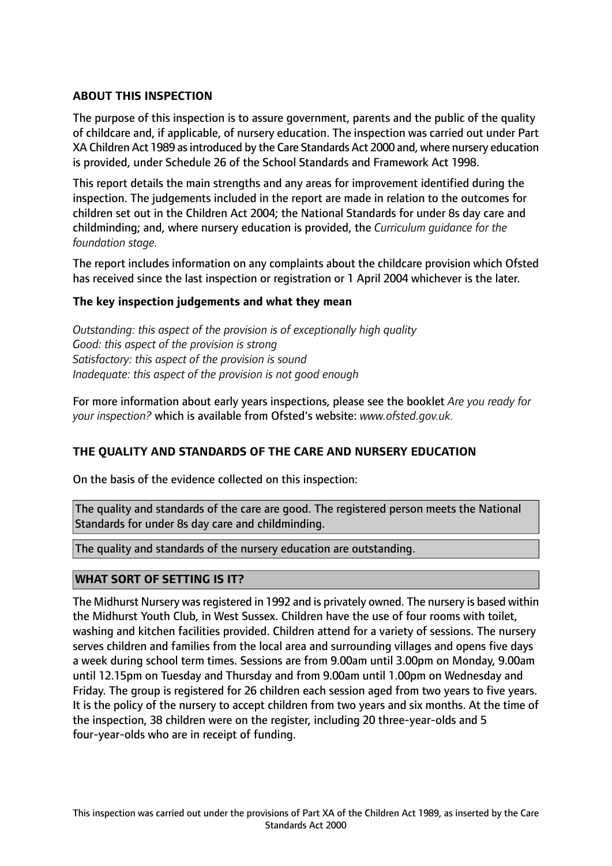## **ABOUT THIS INSPECTION**

The purpose of this inspection is to assure government, parents and the public of the quality of childcare and, if applicable, of nursery education. The inspection was carried out under Part XA Children Act 1989 asintroduced by the Care Standards Act 2000 and, where nursery education is provided, under Schedule 26 of the School Standards and Framework Act 1998.

This report details the main strengths and any areas for improvement identified during the inspection. The judgements included in the report are made in relation to the outcomes for children set out in the Children Act 2004; the National Standards for under 8s day care and childminding; and, where nursery education is provided, the *Curriculum guidance for the foundation stage.*

The report includes information on any complaints about the childcare provision which Ofsted has received since the last inspection or registration or 1 April 2004 whichever is the later.

## **The key inspection judgements and what they mean**

*Outstanding: this aspect of the provision is of exceptionally high quality Good: this aspect of the provision is strong Satisfactory: this aspect of the provision is sound Inadequate: this aspect of the provision is not good enough*

For more information about early years inspections, please see the booklet *Are you ready for your inspection?* which is available from Ofsted's website: *www.ofsted.gov.uk.*

## **THE QUALITY AND STANDARDS OF THE CARE AND NURSERY EDUCATION**

On the basis of the evidence collected on this inspection:

The quality and standards of the care are good. The registered person meets the National Standards for under 8s day care and childminding.

The quality and standards of the nursery education are outstanding.

## **WHAT SORT OF SETTING IS IT?**

The Midhurst Nursery was registered in 1992 and is privately owned. The nursery is based within the Midhurst Youth Club, in West Sussex. Children have the use of four rooms with toilet, washing and kitchen facilities provided. Children attend for a variety of sessions. The nursery serves children and families from the local area and surrounding villages and opens five days a week during school term times. Sessions are from 9.00am until 3.00pm on Monday, 9.00am until 12.15pm on Tuesday and Thursday and from 9.00am until 1.00pm on Wednesday and Friday. The group is registered for 26 children each session aged from two years to five years. It is the policy of the nursery to accept children from two years and six months. At the time of the inspection, 38 children were on the register, including 20 three-year-olds and 5 four-year-olds who are in receipt of funding.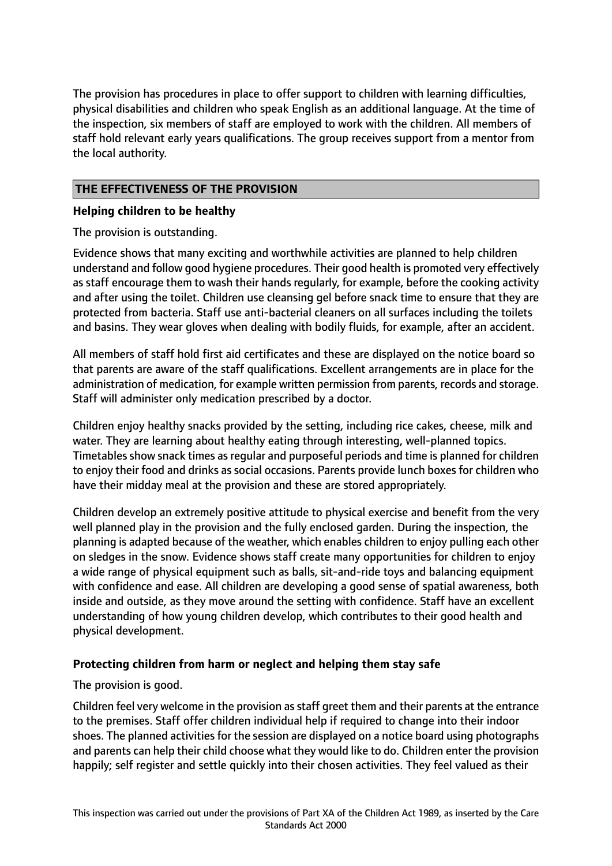The provision has procedures in place to offer support to children with learning difficulties, physical disabilities and children who speak English as an additional language. At the time of the inspection, six members of staff are employed to work with the children. All members of staff hold relevant early years qualifications. The group receives support from a mentor from the local authority.

## **THE EFFECTIVENESS OF THE PROVISION**

## **Helping children to be healthy**

The provision is outstanding.

Evidence shows that many exciting and worthwhile activities are planned to help children understand and follow good hygiene procedures. Their good health is promoted very effectively as staff encourage them to wash their hands regularly, for example, before the cooking activity and after using the toilet. Children use cleansing gel before snack time to ensure that they are protected from bacteria. Staff use anti-bacterial cleaners on all surfaces including the toilets and basins. They wear gloves when dealing with bodily fluids, for example, after an accident.

All members of staff hold first aid certificates and these are displayed on the notice board so that parents are aware of the staff qualifications. Excellent arrangements are in place for the administration of medication, for example written permission from parents, records and storage. Staff will administer only medication prescribed by a doctor.

Children enjoy healthy snacks provided by the setting, including rice cakes, cheese, milk and water. They are learning about healthy eating through interesting, well-planned topics. Timetables show snack times as regular and purposeful periods and time is planned for children to enjoy their food and drinks as social occasions. Parents provide lunch boxes for children who have their midday meal at the provision and these are stored appropriately.

Children develop an extremely positive attitude to physical exercise and benefit from the very well planned play in the provision and the fully enclosed garden. During the inspection, the planning is adapted because of the weather, which enables children to enjoy pulling each other on sledges in the snow. Evidence shows staff create many opportunities for children to enjoy a wide range of physical equipment such as balls, sit-and-ride toys and balancing equipment with confidence and ease. All children are developing a good sense of spatial awareness, both inside and outside, as they move around the setting with confidence. Staff have an excellent understanding of how young children develop, which contributes to their good health and physical development.

## **Protecting children from harm or neglect and helping them stay safe**

The provision is good.

Children feel very welcome in the provision as staff greet them and their parents at the entrance to the premises. Staff offer children individual help if required to change into their indoor shoes. The planned activities for the session are displayed on a notice board using photographs and parents can help their child choose what they would like to do. Children enter the provision happily; self register and settle quickly into their chosen activities. They feel valued as their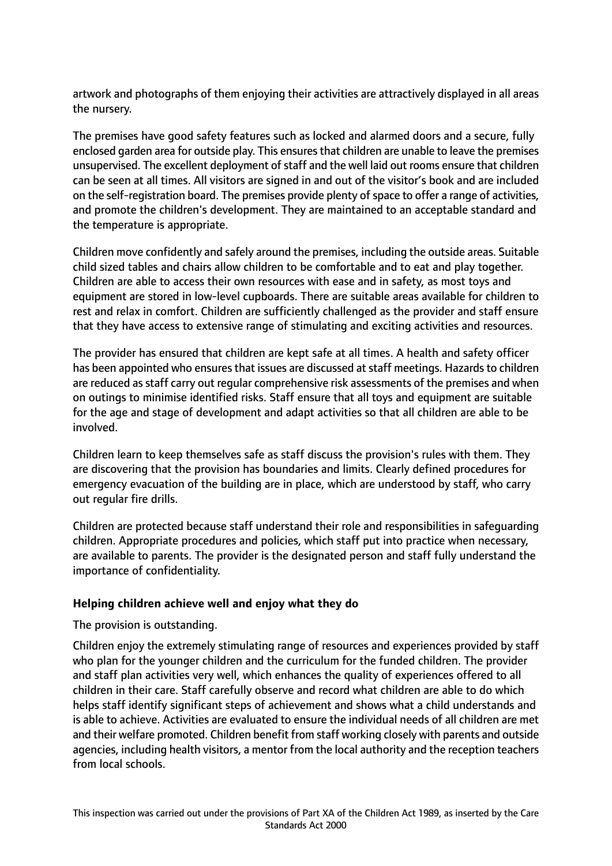artwork and photographs of them enjoying their activities are attractively displayed in all areas the nursery.

The premises have good safety features such as locked and alarmed doors and a secure, fully enclosed garden area for outside play. This ensures that children are unable to leave the premises unsupervised. The excellent deployment of staff and the well laid out rooms ensure that children can be seen at all times. All visitors are signed in and out of the visitor's book and are included on the self-registration board. The premises provide plenty of space to offer a range of activities, and promote the children's development. They are maintained to an acceptable standard and the temperature is appropriate.

Children move confidently and safely around the premises, including the outside areas. Suitable child sized tables and chairs allow children to be comfortable and to eat and play together. Children are able to access their own resources with ease and in safety, as most toys and equipment are stored in low-level cupboards. There are suitable areas available for children to rest and relax in comfort. Children are sufficiently challenged as the provider and staff ensure that they have access to extensive range of stimulating and exciting activities and resources.

The provider has ensured that children are kept safe at all times. A health and safety officer has been appointed who ensures that issues are discussed at staff meetings. Hazards to children are reduced as staff carry out regular comprehensive risk assessments of the premises and when on outings to minimise identified risks. Staff ensure that all toys and equipment are suitable for the age and stage of development and adapt activities so that all children are able to be involved.

Children learn to keep themselves safe as staff discuss the provision's rules with them. They are discovering that the provision has boundaries and limits. Clearly defined procedures for emergency evacuation of the building are in place, which are understood by staff, who carry out regular fire drills.

Children are protected because staff understand their role and responsibilities in safeguarding children. Appropriate procedures and policies, which staff put into practice when necessary, are available to parents. The provider is the designated person and staff fully understand the importance of confidentiality.

## **Helping children achieve well and enjoy what they do**

The provision is outstanding.

Children enjoy the extremely stimulating range of resources and experiences provided by staff who plan for the younger children and the curriculum for the funded children. The provider and staff plan activities very well, which enhances the quality of experiences offered to all children in their care. Staff carefully observe and record what children are able to do which helps staff identify significant steps of achievement and shows what a child understands and is able to achieve. Activities are evaluated to ensure the individual needs of all children are met and their welfare promoted. Children benefit from staff working closely with parents and outside agencies, including health visitors, a mentor from the local authority and the reception teachers from local schools.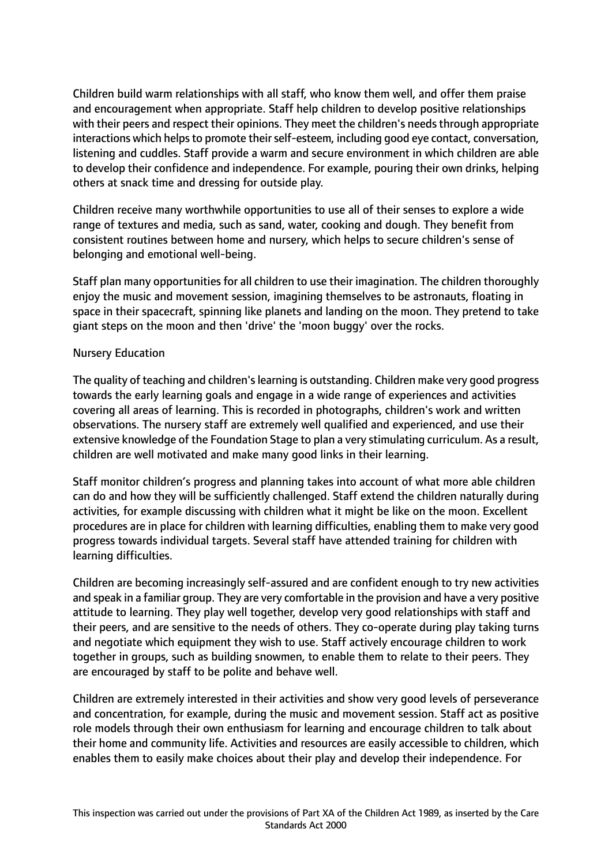Children build warm relationships with all staff, who know them well, and offer them praise and encouragement when appropriate. Staff help children to develop positive relationships with their peers and respect their opinions. They meet the children's needs through appropriate interactions which helps to promote their self-esteem, including good eye contact, conversation, listening and cuddles. Staff provide a warm and secure environment in which children are able to develop their confidence and independence. For example, pouring their own drinks, helping others at snack time and dressing for outside play.

Children receive many worthwhile opportunities to use all of their senses to explore a wide range of textures and media, such as sand, water, cooking and dough. They benefit from consistent routines between home and nursery, which helps to secure children's sense of belonging and emotional well-being.

Staff plan many opportunities for all children to use their imagination. The children thoroughly enjoy the music and movement session, imagining themselves to be astronauts, floating in space in their spacecraft, spinning like planets and landing on the moon. They pretend to take giant steps on the moon and then 'drive' the 'moon buggy' over the rocks.

#### Nursery Education

The quality of teaching and children'slearning is outstanding. Children make very good progress towards the early learning goals and engage in a wide range of experiences and activities covering all areas of learning. This is recorded in photographs, children's work and written observations. The nursery staff are extremely well qualified and experienced, and use their extensive knowledge of the Foundation Stage to plan a very stimulating curriculum. As a result, children are well motivated and make many good links in their learning.

Staff monitor children's progress and planning takes into account of what more able children can do and how they will be sufficiently challenged. Staff extend the children naturally during activities, for example discussing with children what it might be like on the moon. Excellent procedures are in place for children with learning difficulties, enabling them to make very good progress towards individual targets. Several staff have attended training for children with learning difficulties.

Children are becoming increasingly self-assured and are confident enough to try new activities and speak in a familiar group. They are very comfortable in the provision and have a very positive attitude to learning. They play well together, develop very good relationships with staff and their peers, and are sensitive to the needs of others. They co-operate during play taking turns and negotiate which equipment they wish to use. Staff actively encourage children to work together in groups, such as building snowmen, to enable them to relate to their peers. They are encouraged by staff to be polite and behave well.

Children are extremely interested in their activities and show very good levels of perseverance and concentration, for example, during the music and movement session. Staff act as positive role models through their own enthusiasm for learning and encourage children to talk about their home and community life. Activities and resources are easily accessible to children, which enables them to easily make choices about their play and develop their independence. For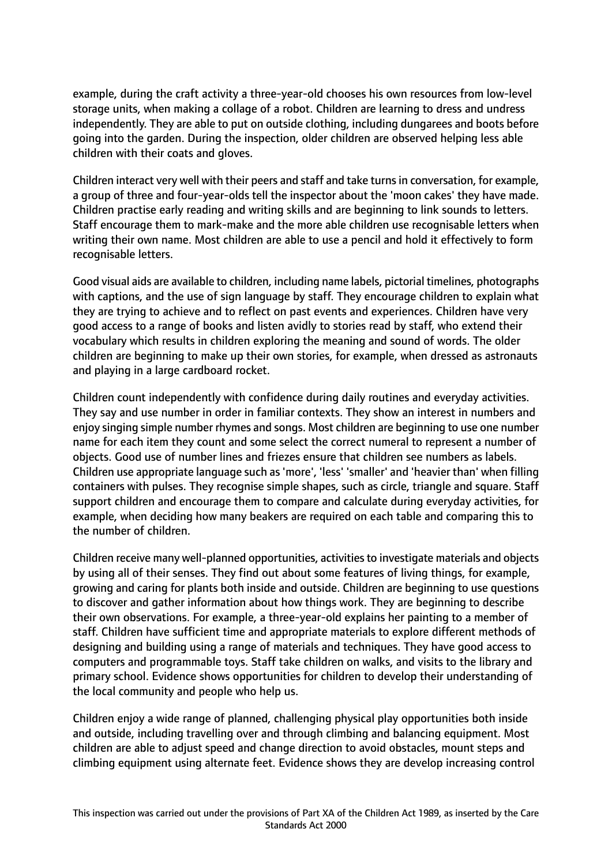example, during the craft activity a three-year-old chooses his own resources from low-level storage units, when making a collage of a robot. Children are learning to dress and undress independently. They are able to put on outside clothing, including dungarees and boots before going into the garden. During the inspection, older children are observed helping less able children with their coats and gloves.

Children interact very well with their peers and staff and take turnsin conversation, for example, a group of three and four-year-olds tell the inspector about the 'moon cakes' they have made. Children practise early reading and writing skills and are beginning to link sounds to letters. Staff encourage them to mark-make and the more able children use recognisable letters when writing their own name. Most children are able to use a pencil and hold it effectively to form recognisable letters.

Good visual aids are available to children, including name labels, pictorial timelines, photographs with captions, and the use of sign language by staff. They encourage children to explain what they are trying to achieve and to reflect on past events and experiences. Children have very good access to a range of books and listen avidly to stories read by staff, who extend their vocabulary which results in children exploring the meaning and sound of words. The older children are beginning to make up their own stories, for example, when dressed as astronauts and playing in a large cardboard rocket.

Children count independently with confidence during daily routines and everyday activities. They say and use number in order in familiar contexts. They show an interest in numbers and enjoy singing simple number rhymes and songs. Most children are beginning to use one number name for each item they count and some select the correct numeral to represent a number of objects. Good use of number lines and friezes ensure that children see numbers as labels. Children use appropriate language such as 'more', 'less' 'smaller' and 'heavier than' when filling containers with pulses. They recognise simple shapes, such as circle, triangle and square. Staff support children and encourage them to compare and calculate during everyday activities, for example, when deciding how many beakers are required on each table and comparing this to the number of children.

Children receive many well-planned opportunities, activitiesto investigate materials and objects by using all of their senses. They find out about some features of living things, for example, growing and caring for plants both inside and outside. Children are beginning to use questions to discover and gather information about how things work. They are beginning to describe their own observations. For example, a three-year-old explains her painting to a member of staff. Children have sufficient time and appropriate materials to explore different methods of designing and building using a range of materials and techniques. They have good access to computers and programmable toys. Staff take children on walks, and visits to the library and primary school. Evidence shows opportunities for children to develop their understanding of the local community and people who help us.

Children enjoy a wide range of planned, challenging physical play opportunities both inside and outside, including travelling over and through climbing and balancing equipment. Most children are able to adjust speed and change direction to avoid obstacles, mount steps and climbing equipment using alternate feet. Evidence shows they are develop increasing control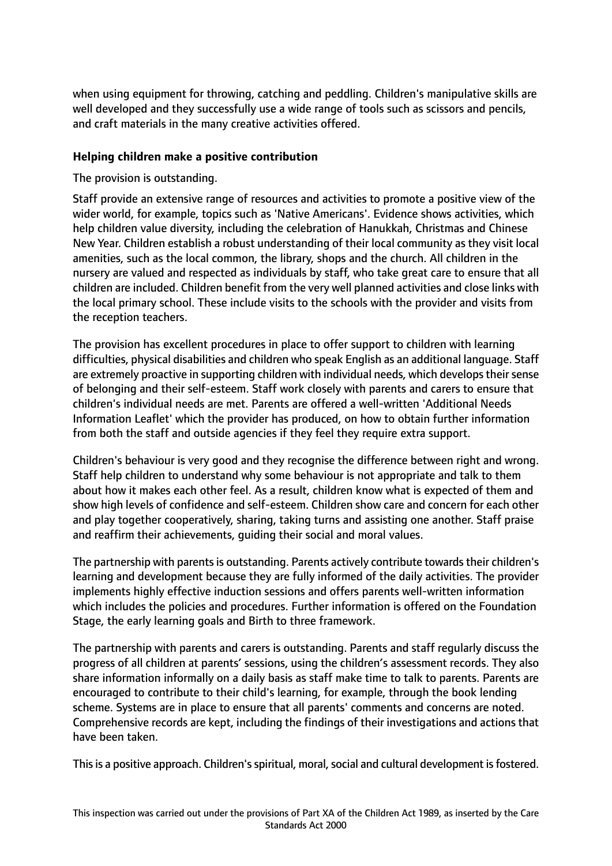when using equipment for throwing, catching and peddling. Children's manipulative skills are well developed and they successfully use a wide range of tools such as scissors and pencils, and craft materials in the many creative activities offered.

## **Helping children make a positive contribution**

The provision is outstanding.

Staff provide an extensive range of resources and activities to promote a positive view of the wider world, for example, topics such as 'Native Americans'. Evidence shows activities, which help children value diversity, including the celebration of Hanukkah, Christmas and Chinese New Year. Children establish a robust understanding of their local community as they visit local amenities, such as the local common, the library, shops and the church. All children in the nursery are valued and respected as individuals by staff, who take great care to ensure that all children are included. Children benefit from the very well planned activities and close links with the local primary school. These include visits to the schools with the provider and visits from the reception teachers.

The provision has excellent procedures in place to offer support to children with learning difficulties, physical disabilities and children who speak English as an additional language. Staff are extremely proactive in supporting children with individual needs, which develops their sense of belonging and their self-esteem. Staff work closely with parents and carers to ensure that children's individual needs are met. Parents are offered a well-written 'Additional Needs Information Leaflet' which the provider has produced, on how to obtain further information from both the staff and outside agencies if they feel they require extra support.

Children's behaviour is very good and they recognise the difference between right and wrong. Staff help children to understand why some behaviour is not appropriate and talk to them about how it makes each other feel. As a result, children know what is expected of them and show high levels of confidence and self-esteem. Children show care and concern for each other and play together cooperatively, sharing, taking turns and assisting one another. Staff praise and reaffirm their achievements, guiding their social and moral values.

The partnership with parents is outstanding. Parents actively contribute towards their children's learning and development because they are fully informed of the daily activities. The provider implements highly effective induction sessions and offers parents well-written information which includes the policies and procedures. Further information is offered on the Foundation Stage, the early learning goals and Birth to three framework.

The partnership with parents and carers is outstanding. Parents and staff regularly discuss the progress of all children at parents' sessions, using the children's assessment records. They also share information informally on a daily basis as staff make time to talk to parents. Parents are encouraged to contribute to their child's learning, for example, through the book lending scheme. Systems are in place to ensure that all parents' comments and concerns are noted. Comprehensive records are kept, including the findings of their investigations and actions that have been taken.

This is a positive approach. Children's spiritual, moral, social and cultural development is fostered.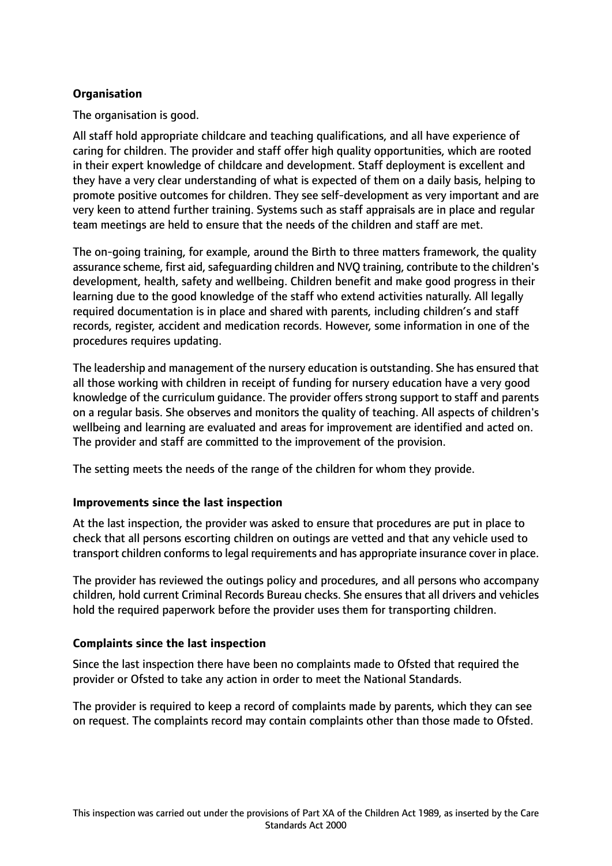## **Organisation**

The organisation is good.

All staff hold appropriate childcare and teaching qualifications, and all have experience of caring for children. The provider and staff offer high quality opportunities, which are rooted in their expert knowledge of childcare and development. Staff deployment is excellent and they have a very clear understanding of what is expected of them on a daily basis, helping to promote positive outcomes for children. They see self-development as very important and are very keen to attend further training. Systems such as staff appraisals are in place and regular team meetings are held to ensure that the needs of the children and staff are met.

The on-going training, for example, around the Birth to three matters framework, the quality assurance scheme, first aid, safeguarding children and NVO training, contribute to the children's development, health, safety and wellbeing. Children benefit and make good progress in their learning due to the good knowledge of the staff who extend activities naturally. All legally required documentation is in place and shared with parents, including children's and staff records, register, accident and medication records. However, some information in one of the procedures requires updating.

The leadership and management of the nursery education is outstanding. She has ensured that all those working with children in receipt of funding for nursery education have a very good knowledge of the curriculum guidance. The provider offers strong support to staff and parents on a regular basis. She observes and monitors the quality of teaching. All aspects of children's wellbeing and learning are evaluated and areas for improvement are identified and acted on. The provider and staff are committed to the improvement of the provision.

The setting meets the needs of the range of the children for whom they provide.

## **Improvements since the last inspection**

At the last inspection, the provider was asked to ensure that procedures are put in place to check that all persons escorting children on outings are vetted and that any vehicle used to transport children conforms to legal requirements and has appropriate insurance cover in place.

The provider has reviewed the outings policy and procedures, and all persons who accompany children, hold current Criminal Records Bureau checks. She ensures that all drivers and vehicles hold the required paperwork before the provider uses them for transporting children.

# **Complaints since the last inspection**

Since the last inspection there have been no complaints made to Ofsted that required the provider or Ofsted to take any action in order to meet the National Standards.

The provider is required to keep a record of complaints made by parents, which they can see on request. The complaints record may contain complaints other than those made to Ofsted.